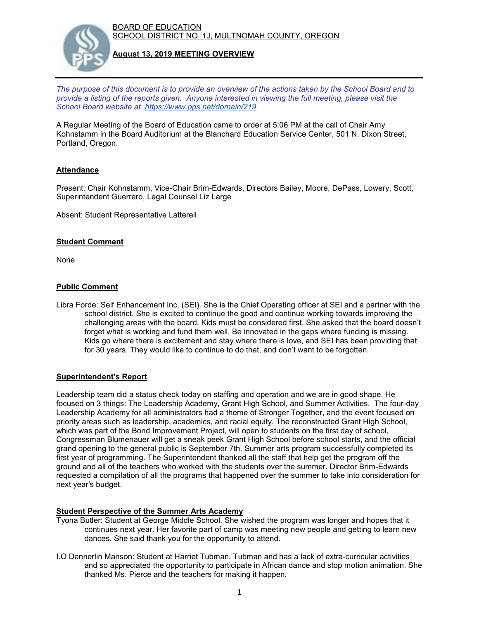BOARD OF EDUCATION SCHOOL DISTRICT NO. 1J, MULTNOMAH COUNTY, OREGON



**August 13, 2019 MEETING OVERVIEW**

*The purpose of this document is to provide an overview of the actions taken by the School Board and to provide a listing of the reports given. Anyone interested in viewing the full meeting, please visit the School Board website at [https://www.pps.net/domain/219.](https://www.pps.net/domain/219)*

A Regular Meeting of the Board of Education came to order at 5:06 PM at the call of Chair Amy Kohnstamm in the Board Auditorium at the Blanchard Education Service Center, 501 N. Dixon Street, Portland, Oregon.

## **Attendance**

Present: Chair Kohnstamm, Vice-Chair Brim-Edwards, Directors Bailey, Moore, DePass, Lowery, Scott, Superintendent Guerrero, Legal Counsel Liz Large

Absent: Student Representative Latterell

#### **Student Comment**

None

## **Public Comment**

Libra Forde: Self Enhancement Inc. (SEI). She is the Chief Operating officer at SEI and a partner with the school district. She is excited to continue the good and continue working towards improving the challenging areas with the board. Kids must be considered first. She asked that the board doesn't forget what is working and fund them well. Be innovated in the gaps where funding is missing. Kids go where there is excitement and stay where there is love, and SEI has been providing that for 30 years. They would like to continue to do that, and don't want to be forgotten.

## **Superintendent's Report**

Leadership team did a status check today on staffing and operation and we are in good shape. He focused on 3 things: The Leadership Academy, Grant High School, and Summer Activities. The four-day Leadership Academy for all administrators had a theme of Stronger Together, and the event focused on priority areas such as leadership, academics, and racial equity. The reconstructed Grant High School, which was part of the Bond Improvement Project, will open to students on the first day of school, Congressman Blumenauer will get a sneak peek Grant High School before school starts, and the official grand opening to the general public is September 7th. Summer arts program successfully completed its first year of programming. The Superintendent thanked all the staff that help get the program off the ground and all of the teachers who worked with the students over the summer. Director Brim-Edwards requested a compilation of all the programs that happened over the summer to take into consideration for next year's budget.

## **Student Perspective of the Summer Arts Academy**

- Tyona Butler: Student at George Middle School. She wished the program was longer and hopes that it continues next year. Her favorite part of camp was meeting new people and getting to learn new dances. She said thank you for the opportunity to attend.
- I.O Dennerlin Manson: Student at Harriet Tubman. Tubman and has a lack of extra-curricular activities and so appreciated the opportunity to participate in African dance and stop motion animation. She thanked Ms. Pierce and the teachers for making it happen.